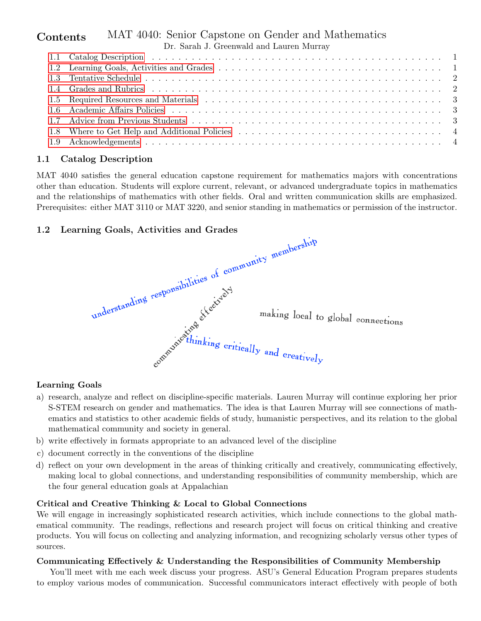#### MAT 4040: Senior Capstone on Gender and Mathematics Dr. Sarah J. Greenwald and Lauren Murray **Contents**

### <span id="page-0-0"></span>1.1 Catalog Description

MAT 4040 satisfies the general education capstone requirement for mathematics majors with concentrations other than education. Students will explore current, relevant, or advanced undergraduate topics in mathematics and the relationships of mathematics with other fields. Oral and written communication skills are emphasized. Prerequisites: either MAT 3110 or MAT 3220, and senior standing in mathematics or permission of the instructor.

<span id="page-0-1"></span>

#### Learning Goals

- a) research, analyze and reflect on discipline-specific materials. Lauren Murray will continue exploring her prior S-STEM research on gender and mathematics. The idea is that Lauren Murray will see connections of mathematics and statistics to other academic fields of study, humanistic perspectives, and its relation to the global mathematical community and society in general.
- b) write effectively in formats appropriate to an advanced level of the discipline
- c) document correctly in the conventions of the discipline
- d) reflect on your own development in the areas of thinking critically and creatively, communicating effectively, making local to global connections, and understanding responsibilities of community membership, which are the four general education goals at Appalachian

#### Critical and Creative Thinking & Local to Global Connections

We will engage in increasingly sophisticated research activities, which include connections to the global mathematical community. The readings, reflections and research project will focus on critical thinking and creative products. You will focus on collecting and analyzing information, and recognizing scholarly versus other types of sources.

#### Communicating Effectively & Understanding the Responsibilities of Community Membership

You'll meet with me each week discuss your progress. ASU's General Education Program prepares students to employ various modes of communication. Successful communicators interact effectively with people of both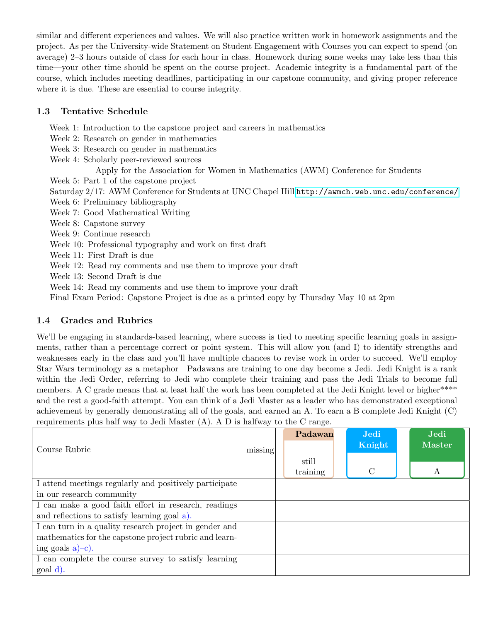similar and different experiences and values. We will also practice written work in homework assignments and the project. As per the University-wide Statement on Student Engagement with Courses you can expect to spend (on average) 2–3 hours outside of class for each hour in class. Homework during some weeks may take less than this time—your other time should be spent on the course project. Academic integrity is a fundamental part of the course, which includes meeting deadlines, participating in our capstone community, and giving proper reference where it is due. These are essential to course integrity.

# <span id="page-1-0"></span>1.3 Tentative Schedule

- Week 1: Introduction to the capstone project and careers in mathematics
- Week 2: Research on gender in mathematics
- Week 3: Research on gender in mathematics
- Week 4: Scholarly peer-reviewed sources
	- Apply for the Association for Women in Mathematics (AWM) Conference for Students
- Week 5: Part 1 of the capstone project
- Saturday 2/17: AWM Conference for Students at UNC Chapel Hill <http://awmch.web.unc.edu/conference/>
- Week 6: Preliminary bibliography
- Week 7: Good Mathematical Writing
- Week 8: Capstone survey
- Week 9: Continue research
- Week 10: Professional typography and work on first draft
- Week 11: First Draft is due
- Week 12: Read my comments and use them to improve your draft
- Week 13: Second Draft is due
- Week 14: Read my comments and use them to improve your draft
- Final Exam Period: Capstone Project is due as a printed copy by Thursday May 10 at 2pm

# <span id="page-1-1"></span>1.4 Grades and Rubrics

We'll be engaging in standards-based learning, where success is tied to meeting specific learning goals in assignments, rather than a percentage correct or point system. This will allow you (and I) to identify strengths and weaknesses early in the class and you'll have multiple chances to revise work in order to succeed. We'll employ Star Wars terminology as a metaphor—Padawans are training to one day become a Jedi. Jedi Knight is a rank within the Jedi Order, referring to Jedi who complete their training and pass the Jedi Trials to become full members. A C grade means that at least half the work has been completed at the Jedi Knight level or higher\*\*\*\* and the rest a good-faith attempt. You can think of a Jedi Master as a leader who has demonstrated exceptional achievement by generally demonstrating all of the goals, and earned an A. To earn a B complete Jedi Knight (C) requirements plus half way to Jedi Master (A). A D is halfway to the C range.

|                                                        |         | Padawan  | Jedi          | Jedi          |
|--------------------------------------------------------|---------|----------|---------------|---------------|
| Course Rubric                                          | missing |          | Knight        | <b>Master</b> |
|                                                        |         | still    |               |               |
|                                                        |         | training | $\mathcal{C}$ | $\bf{A}$      |
| I attend meetings regularly and positively participate |         |          |               |               |
| in our research community                              |         |          |               |               |
| I can make a good faith effort in research, readings   |         |          |               |               |
| and reflections to satisfy learning goal a).           |         |          |               |               |
| I can turn in a quality research project in gender and |         |          |               |               |
| mathematics for the capstone project rubric and learn- |         |          |               |               |
| ing goals $a$ )-c).                                    |         |          |               |               |
| I can complete the course survey to satisfy learning   |         |          |               |               |
| goal d).                                               |         |          |               |               |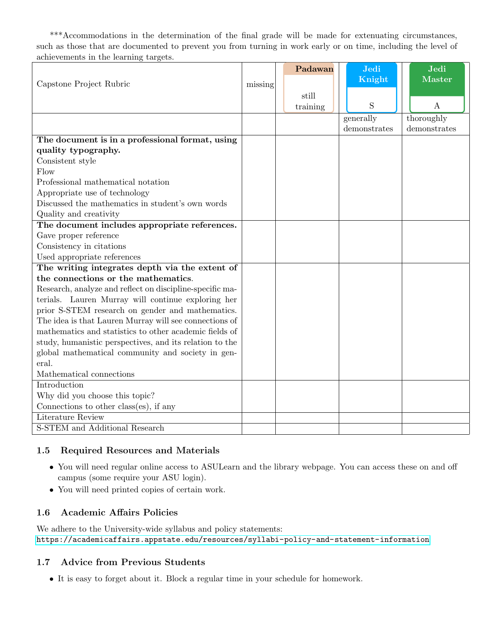\*\*\*Accommodations in the determination of the final grade will be made for extenuating circumstances, such as those that are documented to prevent you from turning in work early or on time, including the level of achievements in the learning targets.

|                                                          |         |  | Padawan  | Jedi<br>Knight | Jedi<br><b>Master</b> |
|----------------------------------------------------------|---------|--|----------|----------------|-----------------------|
| Capstone Project Rubric                                  | missing |  |          |                |                       |
|                                                          |         |  | still    |                |                       |
|                                                          |         |  | training | S              | $\bf{A}$              |
|                                                          |         |  |          | generally      | thoroughly            |
|                                                          |         |  |          | demonstrates   | demonstrates          |
| The document is in a professional format, using          |         |  |          |                |                       |
| quality typography.                                      |         |  |          |                |                       |
| Consistent style                                         |         |  |          |                |                       |
| Flow                                                     |         |  |          |                |                       |
| Professional mathematical notation                       |         |  |          |                |                       |
| Appropriate use of technology                            |         |  |          |                |                       |
| Discussed the mathematics in student's own words         |         |  |          |                |                       |
| Quality and creativity                                   |         |  |          |                |                       |
| The document includes appropriate references.            |         |  |          |                |                       |
| Gave proper reference                                    |         |  |          |                |                       |
| Consistency in citations                                 |         |  |          |                |                       |
| Used appropriate references                              |         |  |          |                |                       |
| The writing integrates depth via the extent of           |         |  |          |                |                       |
| the connections or the mathematics.                      |         |  |          |                |                       |
| Research, analyze and reflect on discipline-specific ma- |         |  |          |                |                       |
| terials. Lauren Murray will continue exploring her       |         |  |          |                |                       |
| prior S-STEM research on gender and mathematics.         |         |  |          |                |                       |
| The idea is that Lauren Murray will see connections of   |         |  |          |                |                       |
| mathematics and statistics to other academic fields of   |         |  |          |                |                       |
| study, humanistic perspectives, and its relation to the  |         |  |          |                |                       |
| global mathematical community and society in gen-        |         |  |          |                |                       |
| eral.                                                    |         |  |          |                |                       |
| Mathematical connections                                 |         |  |          |                |                       |
| Introduction                                             |         |  |          |                |                       |
| Why did you choose this topic?                           |         |  |          |                |                       |
| Connections to other class(es), if any                   |         |  |          |                |                       |
| Literature Review                                        |         |  |          |                |                       |
| <b>S-STEM</b> and Additional Research                    |         |  |          |                |                       |

# <span id="page-2-0"></span>1.5 Required Resources and Materials

- You will need regular online access to ASULearn and the library webpage. You can access these on and off campus (some require your ASU login).
- You will need printed copies of certain work.

# <span id="page-2-1"></span>1.6 Academic Affairs Policies

We adhere to the University-wide syllabus and policy statements: <https://academicaffairs.appstate.edu/resources/syllabi-policy-and-statement-information>

# <span id="page-2-2"></span>1.7 Advice from Previous Students

• It is easy to forget about it. Block a regular time in your schedule for homework.